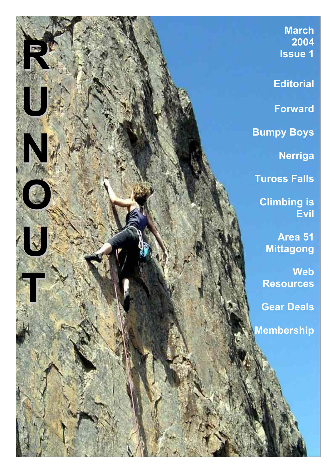**March** 2004 RUNOUT COMMUNICATION Issue 1 **Editorial** Forward Bumpy Boys Nerriga Tuross Falls Climbing is Evil XX Area 51 Mittagong Web **Resources** Gear Deals Membership

l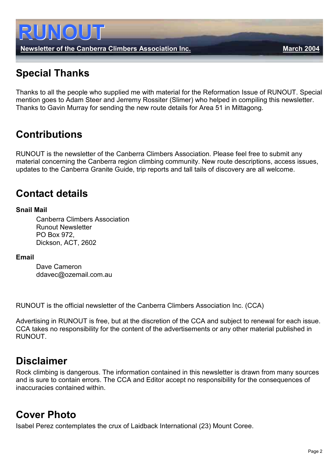

Newsletter of the Canberra Climbers Association Inc. Newsletter of the Canberra Climbers Association Inc.

# Special Thanks

Thanks to all the people who supplied me with material for the Reformation Issue of RUNOUT. Special mention goes to Adam Steer and Jerremy Rossiter (Slimer) who helped in compiling this newsletter. Thanks to Gavin Murray for sending the new route details for Area 51 in Mittagong.

# **Contributions**

RUNOUT is the newsletter of the Canberra Climbers Association. Please feel free to submit any material concerning the Canberra region climbing community. New route descriptions, access issues, updates to the Canberra Granite Guide, trip reports and tall tails of discovery are all welcome.

# Contact details

#### Snail Mail

 Canberra Climbers Association Runout Newsletter PO Box 972, Dickson, ACT, 2602

#### Email

 Dave Cameron ddavec@ozemail.com.au

RUNOUT is the official newsletter of the Canberra Climbers Association Inc. (CCA)

Advertising in RUNOUT is free, but at the discretion of the CCA and subject to renewal for each issue. CCA takes no responsibility for the content of the advertisements or any other material published in RUNOUT.

# Disclaimer

Rock climbing is dangerous. The information contained in this newsletter is drawn from many sources and is sure to contain errors. The CCA and Editor accept no responsibility for the consequences of inaccuracies contained within.

# Cover Photo

Isabel Perez contemplates the crux of Laidback International (23) Mount Coree.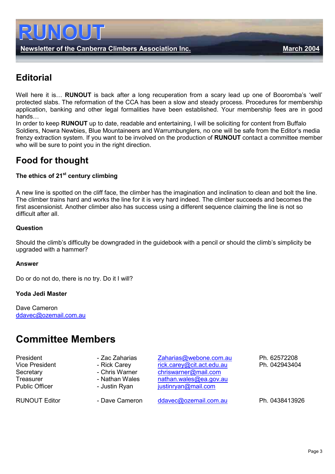

# **Editorial**

Well here it is... **RUNOUT** is back after a long recuperation from a scary lead up one of Booromba's 'well' protected slabs. The reformation of the CCA has been a slow and steady process. Procedures for membership application, banking and other legal formalities have been established. Your membership fees are in good hands…

In order to keep RUNOUT up to date, readable and entertaining, I will be soliciting for content from Buffalo Soldiers, Nowra Newbies, Blue Mountaineers and Warrumbunglers, no one will be safe from the Editor's media frenzy extraction system. If you want to be involved on the production of RUNOUT contact a committee member who will be sure to point you in the right direction.

# Food for thought

#### The ethics of  $21<sup>st</sup>$  century climbing

A new line is spotted on the cliff face, the climber has the imagination and inclination to clean and bolt the line. The climber trains hard and works the line for it is very hard indeed. The climber succeeds and becomes the first ascensionist. Another climber also has success using a different sequence claiming the line is not so difficult after all.

#### **Question**

Should the climb's difficulty be downgraded in the guidebook with a pencil or should the climb's simplicity be upgraded with a hammer?

#### Answer

Do or do not do, there is no try. Do it I will?

#### Yoda Jedi Master

Dave Cameron [ddavec@ozemail.com.au](mailto:ddavec@ozemail.com.au)

# Committee Members

| President<br>Vice President<br>Secretary<br>Treasurer<br><b>Public Officer</b> | - Zac Zaharias<br>- Rick Carey<br>- Chris Warner<br>- Nathan Wales<br>- Justin Ryan | Zaharias@webone.com.au<br>rick.carey@cit.act.edu.au<br>chriswarner@mail.com<br>nathan.wales@ea.gov.au<br>justinryan@mail.com | Ph. 62572208<br>Ph. 042943404 |
|--------------------------------------------------------------------------------|-------------------------------------------------------------------------------------|------------------------------------------------------------------------------------------------------------------------------|-------------------------------|
| <b>RUNOUT Editor</b>                                                           | - Dave Cameron                                                                      | ddavec@ozemail.com.au                                                                                                        | Ph. 0438413926                |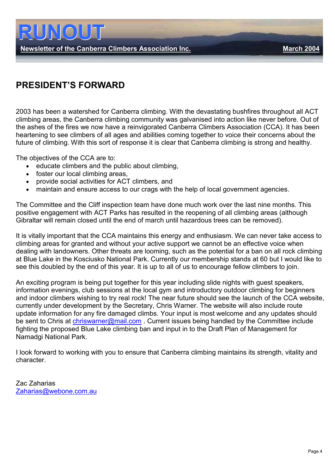Newsletter of the Canberra Climbers Association Inc. March 2004

# PRESIDENT'S FORWARD

2003 has been a watershed for Canberra climbing. With the devastating bushfires throughout all ACT climbing areas, the Canberra climbing community was galvanised into action like never before. Out of the ashes of the fires we now have a reinvigorated Canberra Climbers Association (CCA). It has been heartening to see climbers of all ages and abilities coming together to voice their concerns about the future of climbing. With this sort of response it is clear that Canberra climbing is strong and healthy.

The objectives of the CCA are to:

- educate climbers and the public about climbing,
- foster our local climbing areas,
- provide social activities for ACT climbers, and
- maintain and ensure access to our crags with the help of local government agencies.

The Committee and the Cliff inspection team have done much work over the last nine months. This positive engagement with ACT Parks has resulted in the reopening of all climbing areas (although Gibraltar will remain closed until the end of march until hazardous trees can be removed).

It is vitally important that the CCA maintains this energy and enthusiasm. We can never take access to climbing areas for granted and without your active support we cannot be an effective voice when dealing with landowners. Other threats are looming, such as the potential for a ban on all rock climbing at Blue Lake in the Kosciusko National Park. Currently our membership stands at 60 but I would like to see this doubled by the end of this year. It is up to all of us to encourage fellow climbers to join.

An exciting program is being put together for this year including slide nights with guest speakers, information evenings, club sessions at the local gym and introductory outdoor climbing for beginners and indoor climbers wishing to try real rock! The near future should see the launch of the CCA website, currently under development by the Secretary, Chris Warner. The website will also include route update information for any fire damaged climbs. Your input is most welcome and any updates should be sent to Chris at chriswarner@mail.com. Current issues being handled by the Committee include fighting the proposed Blue Lake climbing ban and input in to the Draft Plan of Management for Namadgi National Park.

I look forward to working with you to ensure that Canberra climbing maintains its strength, vitality and character.

Zac Zaharias [Zaharias@webone.com.au](mailto:Zaharias@webone.com.au)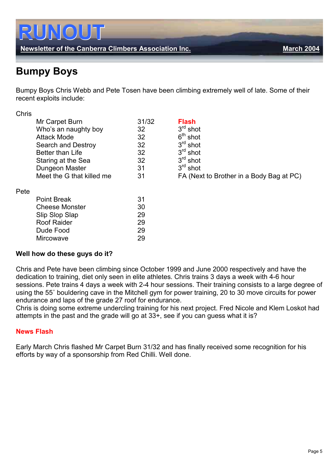

# Bumpy Boys

Bumpy Boys Chris Webb and Pete Tosen have been climbing extremely well of late. Some of their recent exploits include:

| <b>Chris</b> |                           |       |                                          |
|--------------|---------------------------|-------|------------------------------------------|
|              | Mr Carpet Burn            | 31/32 | <b>Flash</b>                             |
|              | Who's an naughty boy      | 32    | $3rd$ shot                               |
|              | <b>Attack Mode</b>        | 32    | $6th$ shot                               |
|              | Search and Destroy        | 32    | $3rd$ shot                               |
|              | <b>Better than Life</b>   | 32    | $3rd$ shot                               |
|              | Staring at the Sea        | 32    | $3rd$ shot                               |
|              | Dungeon Master            | 31    | $3rd$ shot                               |
|              | Meet the G that killed me | 31    | FA (Next to Brother in a Body Bag at PC) |
| Pete         |                           |       |                                          |
|              | <b>Point Break</b>        | 31    |                                          |
|              | <b>Cheese Monster</b>     | 30    |                                          |
|              | Slip Slop Slap            | 29    |                                          |
|              | <b>Roof Raider</b>        | 29    |                                          |
|              | Dude Food                 | 29    |                                          |
|              | <b>Mircowave</b>          | 29    |                                          |

#### Well how do these guys do it?

Chris and Pete have been climbing since October 1999 and June 2000 respectively and have the dedication to training, diet only seen in elite athletes. Chris trains 3 days a week with 4-6 hour sessions. Pete trains 4 days a week with 2-4 hour sessions. Their training consists to a large degree of using the 55˚ bouldering cave in the Mitchell gym for power training, 20 to 30 move circuits for power endurance and laps of the grade 27 roof for endurance.

Chris is doing some extreme undercling training for his next project. Fred Nicole and Klem Loskot had attempts in the past and the grade will go at 33+, see if you can guess what it is?

#### News Flash

Early March Chris flashed Mr Carpet Burn 31/32 and has finally received some recognition for his efforts by way of a sponsorship from Red Chilli. Well done.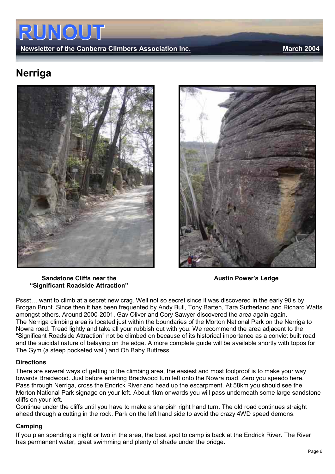Newsletter of the Canberra Climbers Association Inc. Newsletter of the Canberra Climbers Association Inc.

# Nerriga







Pssst… want to climb at a secret new crag. Well not so secret since it was discovered in the early 90's by Brogan Brunt. Since then it has been frequented by Andy Bull, Tony Barten, Tara Sutherland and Richard Watts amongst others. Around 2000-2001, Gav Oliver and Cory Sawyer discovered the area again-again. The Nerriga climbing area is located just within the boundaries of the Morton National Park on the Nerriga to Nowra road. Tread lightly and take all your rubbish out with you. We recommend the area adjacent to the "Significant Roadside Attraction" not be climbed on because of its historical importance as a convict built road and the suicidal nature of belaying on the edge. A more complete guide will be available shortly with topos for The Gym (a steep pocketed wall) and Oh Baby Buttress.

#### **Directions**

There are several ways of getting to the climbing area, the easiest and most foolproof is to make your way towards Braidwood. Just before entering Braidwood turn left onto the Nowra road. Zero you speedo here. Pass through Nerriga, cross the Endrick River and head up the escarpment. At 58km you should see the Morton National Park signage on your left. About 1km onwards you will pass underneath some large sandstone cliffs on your left.

Continue under the cliffs until you have to make a sharpish right hand turn. The old road continues straight ahead through a cutting in the rock. Park on the left hand side to avoid the crazy 4WD speed demons.

#### Camping

If you plan spending a night or two in the area, the best spot to camp is back at the Endrick River. The River has permanent water, great swimming and plenty of shade under the bridge.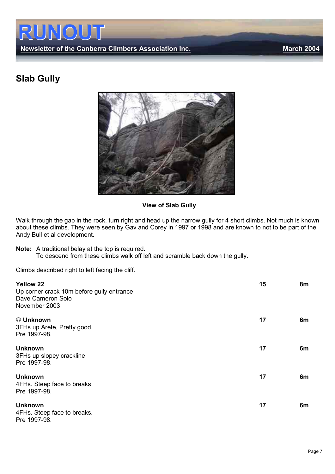Newsletter of the Canberra Climbers Association Inc. Manner March 2004

# Slab Gully



View of Slab Gully

Walk through the gap in the rock, turn right and head up the narrow gully for 4 short climbs. Not much is known about these climbs. They were seen by Gav and Corey in 1997 or 1998 and are known to not to be part of the Andy Bull et al development.

Note: A traditional belay at the top is required. To descend from these climbs walk off left and scramble back down the gully.

Climbs described right to left facing the cliff.

| <b>Yellow 22</b><br>Up corner crack 10m before gully entrance<br>Dave Cameron Solo<br>November 2003 | 15 | 8m |
|-----------------------------------------------------------------------------------------------------|----|----|
| © Unknown<br>3FHs up Arete, Pretty good.<br>Pre 1997-98.                                            | 17 | 6m |
| <b>Unknown</b><br>3FHs up slopey crackline<br>Pre 1997-98.                                          | 17 | 6m |
| <b>Unknown</b><br>4FHs. Steep face to breaks<br>Pre 1997-98.                                        | 17 | 6m |
| <b>Unknown</b><br>4FHs. Steep face to breaks.<br>Pre 1997-98.                                       | 17 | 6m |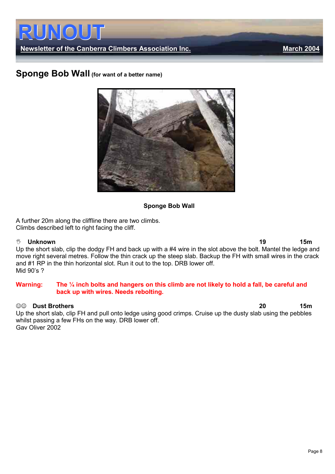

Newsletter of the Canberra Climbers Association Inc. Newsletter of the Canberra Climbers Association Inc.

### Sponge Bob Wall (for want of a better name)



#### Sponge Bob Wall

A further 20m along the cliffline there are two climbs. Climbs described left to right facing the cliff.

#### $\sqrt[3]{\psi}$

 Unknown 19 15m Up the short slab, clip the dodgy FH and back up with a #4 wire in the slot above the bolt. Mantel the ledge and move right several metres. Follow the thin crack up the steep slab. Backup the FH with small wires in the crack and #1 RP in the thin horizontal slot. Run it out to the top. DRB lower off. Mid 90's ?

#### Warning: The 1/4 inch bolts and hangers on this climb are not likely to hold a fall, be careful and back up with wires. Needs rebolting.

#### ☺☺ Dust Brothers 20 15m

Up the short slab, clip FH and pull onto ledge using good crimps. Cruise up the dusty slab using the pebbles whilst passing a few FHs on the way. DRB lower off. Gav Oliver 2002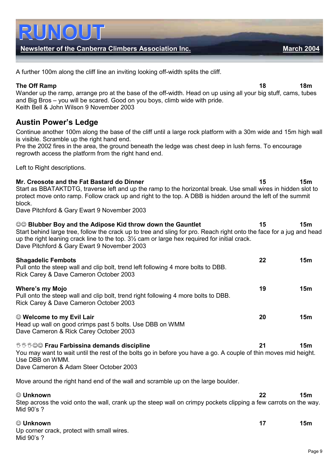| block.                                                                                                                                                                                                                                                                                                                             |    |                 |
|------------------------------------------------------------------------------------------------------------------------------------------------------------------------------------------------------------------------------------------------------------------------------------------------------------------------------------|----|-----------------|
| Dave Pitchford & Gary Ewart 9 November 2003                                                                                                                                                                                                                                                                                        |    |                 |
| ©© Blubber Boy and the Adipose Kid throw down the Gauntlet<br>Start behind large tree, follow the crack up to tree and sling for pro. Reach right onto the face for a jug and head<br>up the right leaning crack line to the top. 31/2 cam or large hex required for initial crack.<br>Dave Pitchford & Gary Ewart 9 November 2003 | 15 | 15 <sub>m</sub> |
| <b>Shagadelic Fembots</b><br>Pull onto the steep wall and clip bolt, trend left following 4 more bolts to DBB.<br>Rick Carey & Dave Cameron October 2003                                                                                                                                                                           | 22 | 15 <sub>m</sub> |
| <b>Where's my Mojo</b><br>Pull onto the steep wall and clip bolt, trend right following 4 more bolts to DBB.<br>Rick Carey & Dave Cameron October 2003                                                                                                                                                                             | 19 | 15 <sub>m</sub> |
| © Welcome to my Evil Lair<br>Head up wall on good crimps past 5 bolts. Use DBB on WMM<br>Dave Cameron & Rick Carey October 2003                                                                                                                                                                                                    | 20 | 15 <sub>m</sub> |
| ್ರಿ ಶಿಲಿ© Frau Farbissina demands discipline<br>You may want to wait until the rest of the bolts go in before you have a go. A couple of thin moves mid height.<br>Use DBB on WMM.<br>Dave Cameron & Adam Steer October 2003                                                                                                       | 21 | 15 <sub>m</sub> |
| Move around the right hand end of the wall and scramble up on the large boulder.                                                                                                                                                                                                                                                   |    |                 |
| © Unknown<br>Step across the void onto the wall, crank up the steep wall on crimpy pockets clipping a few carrots on the way.<br>Mid 90's ?                                                                                                                                                                                        | 22 | 15 <sub>m</sub> |
| © Unknown<br>Up corner crack, protect with small wires.<br>Mid 90's ?                                                                                                                                                                                                                                                              | 17 | 15m             |

Continue another 100m along the base of the cliff until a large rock platform with a 30m wide and 15m high wall is visible. Scramble up the right hand end.

Pre the 2002 fires in the area, the ground beneath the ledge was chest deep in lush ferns. To encourage regrowth access the platform from the right hand end.

Left to Right descriptions.

#### Wander up the ramp, arrange pro at the base of the off-width. Head on up using all your big stuff, cams, tubes and Big Bros – you will be scared. Good on you boys, climb wide with pride.

A further 100m along the cliff line an inviting looking off-width splits the cliff.

Keith Bell & John Wilson 9 November 2003

# Austin Power's Ledge

Newsletter of the Canberra Climbers Association Inc. March 2004

The Off Ramp 18 18m

Mr. Creosote and the Fat Bastard do Dinner 15 15m

Start as BBATAKTDTG, traverse left and up the ramp to the horizontal break. Use small wires in hidden slot to

protect move onto ramp. Follow crack up and right to the top. A DBB is hidden around the left of the summit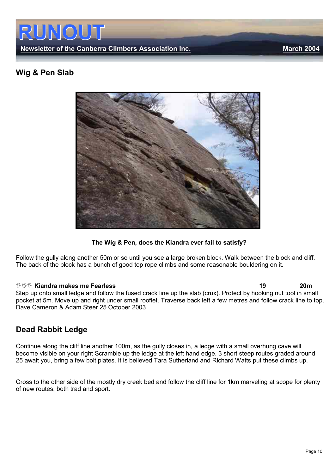

### Wig & Pen Slab



The Wig & Pen, does the Kiandra ever fail to satisfy?

Follow the gully along another 50m or so until you see a large broken block. Walk between the block and cliff. The back of the block has a bunch of good top rope climbs and some reasonable bouldering on it.

--- Kiandra makes me Fearless 19 20m Step up onto small ledge and follow the fused crack line up the slab (crux). Protect by hooking nut tool in small pocket at 5m. Move up and right under small rooflet. Traverse back left a few metres and follow crack line to top. Dave Cameron & Adam Steer 25 October 2003

### Dead Rabbit Ledge

Continue along the cliff line another 100m, as the gully closes in, a ledge with a small overhung cave will become visible on your right Scramble up the ledge at the left hand edge. 3 short steep routes graded around 25 await you, bring a few bolt plates. It is believed Tara Sutherland and Richard Watts put these climbs up.

Cross to the other side of the mostly dry creek bed and follow the cliff line for 1km marveling at scope for plenty of new routes, both trad and sport.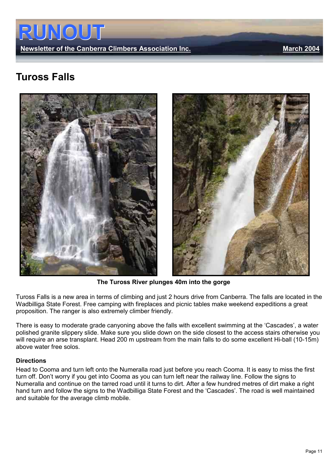

# Tuross Falls





The Tuross River plunges 40m into the gorge

Tuross Falls is a new area in terms of climbing and just 2 hours drive from Canberra. The falls are located in the Wadbilliga State Forest. Free camping with fireplaces and picnic tables make weekend expeditions a great proposition. The ranger is also extremely climber friendly.

There is easy to moderate grade canyoning above the falls with excellent swimming at the 'Cascades', a water polished granite slippery slide. Make sure you slide down on the side closest to the access stairs otherwise you will require an arse transplant. Head 200 m upstream from the main falls to do some excellent Hi-ball (10-15m) above water free solos.

#### **Directions**

Head to Cooma and turn left onto the Numeralla road just before you reach Cooma. It is easy to miss the first turn off. Don't worry if you get into Cooma as you can turn left near the railway line. Follow the signs to Numeralla and continue on the tarred road until it turns to dirt. After a few hundred metres of dirt make a right hand turn and follow the signs to the Wadbilliga State Forest and the 'Cascades'. The road is well maintained and suitable for the average climb mobile.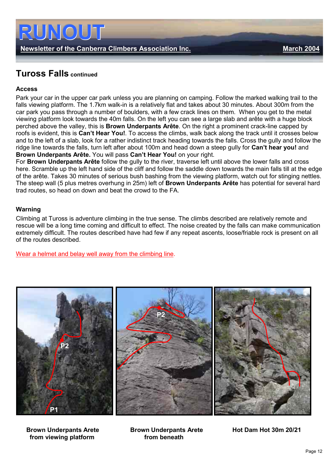

## Tuross Falls continued

#### Access

Park your car in the upper car park unless you are planning on camping. Follow the marked walking trail to the falls viewing platform. The 1.7km walk-in is a relatively flat and takes about 30 minutes. About 300m from the car park you pass through a number of boulders, with a few crack lines on them. When you get to the metal viewing platform look towards the 40m falls. On the left you can see a large slab and arête with a huge block perched above the valley, this is Brown Underpants Arête. On the right a prominent crack-line capped by roofs is evident, this is Can't Hear You!. To access the climbs, walk back along the track until it crosses below and to the left of a slab, look for a rather indistinct track heading towards the falls. Cross the gully and follow the ridge line towards the falls, turn left after about 100m and head down a steep gully for Can't hear you! and Brown Underpants Arête. You will pass Can't Hear You! on your right.

For Brown Underpants Arête follow the gully to the river, traverse left until above the lower falls and cross here. Scramble up the left hand side of the cliff and follow the saddle down towards the main falls till at the edge of the arête. Takes 30 minutes of serious bush bashing from the viewing platform, watch out for stinging nettles. The steep wall (5 plus metres overhung in 25m) left of Brown Underpants Arête has potential for several hard trad routes, so head on down and beat the crowd to the FA.

#### Warning

Climbing at Tuross is adventure climbing in the true sense. The climbs described are relatively remote and rescue will be a long time coming and difficult to effect. The noise created by the falls can make communication extremely difficult. The routes described have had few if any repeat ascents, loose/friable rock is present on all of the routes described.

Wear a helmet and belay well away from the climbing line.



from viewing platform from beneath

Brown Underpants Arete Brown Underpants Arete Hot Dam Hot 30m 20/21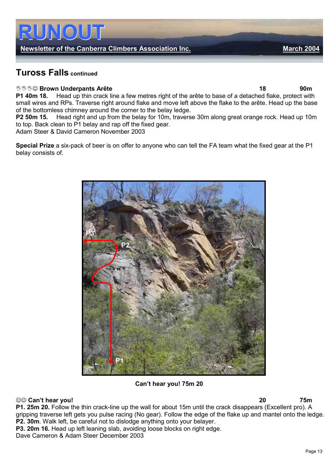### Newsletter of the Canberra Climbers Association Inc. Mannes Association 2004

# Tuross Falls continued

i

#### <sup>ಀ</sup>ಿ ಅಿ Brown Underpants Arête ತಮಾರ್ ಕಾರ್ಯಾಟೆಂಡ್ ಕಾರ್ಯಾಟೆಂಡ್ ರಾಜಕೀಯ ಕಾರ್ಯಾಟೆಂಡ್ 18 ರಂದು 90m

P1 40m 18. Head up thin crack line a few metres right of the arête to base of a detached flake, protect with small wires and RPs. Traverse right around flake and move left above the flake to the arête. Head up the base of the bottomless chimney around the corner to the belay ledge.

P2 50m 15. Head right and up from the belay for 10m, traverse 30m along great orange rock. Head up 10m to top. Back clean to P1 belay and rap off the fixed gear.

Adam Steer & David Cameron November 2003

Special Prize a six-pack of beer is on offer to anyone who can tell the FA team what the fixed gear at the P1 belay consists of.



#### Can't hear you! 75m 20

#### ☺☺ Can't hear you! 20 75m

P1. 25m 20. Follow the thin crack-line up the wall for about 15m until the crack disappears (Excellent pro). A gripping traverse left gets you pulse racing (No gear). Follow the edge of the flake up and mantel onto the ledge. P2. 30m. Walk left, be careful not to dislodge anything onto your belayer.

P3. 20m 16. Head up left leaning slab, avoiding loose blocks on right edge.

Dave Cameron & Adam Steer December 2003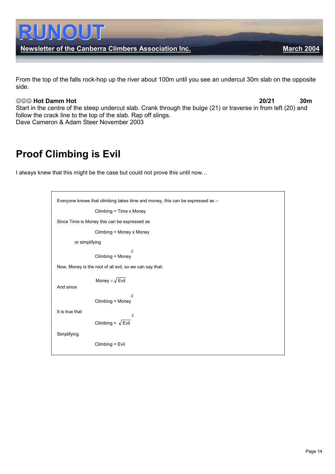

From the top of the falls rock-hop up the river about 100m until you see an undercut 30m slab on the opposite side.

#### ☺☺☺ Hot Damm Hot 20/21 30m

Start in the centre of the steep undercut slab. Crank through the bulge (21) or traverse in from left (20) and follow the crack line to the top of the slab. Rap off slings. Dave Cameron & Adam Steer November 2003

# Proof Climbing is Evil

I always knew that this might be the case but could not prove this until now…

| Everyone knows that climbing takes time and money, this can be expressed as :- |  |  |
|--------------------------------------------------------------------------------|--|--|
| Climbing = Time x Money                                                        |  |  |
| Since Time is Money this can be expressed as                                   |  |  |
| Climbing = Money x Money                                                       |  |  |
| or simplifying                                                                 |  |  |
| $\overline{2}$<br>Climbing = Money                                             |  |  |
| Now, Money is the root of all evil, so we can say that:                        |  |  |
| Money = $\sqrt{\text{Evil}}$<br>And since                                      |  |  |
| $\overline{2}$<br>Climbing = Money                                             |  |  |
| It is true that<br>$\overline{2}$                                              |  |  |
| Climbing = $\sqrt{\text{Evil}}$                                                |  |  |
| Simplifying                                                                    |  |  |
| $Climbing = Evil$                                                              |  |  |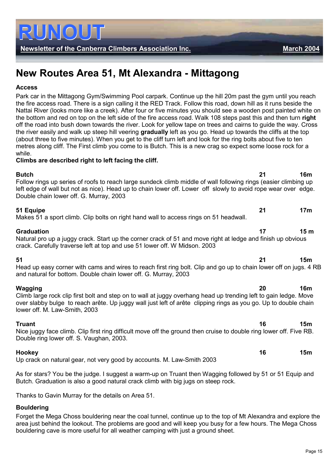Newsletter of the Canberra Climbers Association Inc. Newsletter of the Canberra Climbers Association Inc.

# New Routes Area 51, Mt Alexandra - Mittagong

#### Access

Park car in the Mittagong Gym/Swimming Pool carpark. Continue up the hill 20m past the gym until you reach the fire access road. There is a sign calling it the RED Track. Follow this road, down hill as it runs beside the Nattai River (looks more like a creek). After four or five minutes you should see a wooden post painted white on the bottom and red on top on the left side of the fire access road. Walk 108 steps past this and then turn right off the road into bush down towards the river. Look for yellow tape on trees and cairns to guide the way. Cross the river easily and walk up steep hill veering gradually left as you go. Head up towards the cliffs at the top (about three to five minutes). When you get to the cliff turn left and look for the ring bolts about five to ten metres along cliff. The First climb you come to is Butch. This is a new crag so expect some loose rock for a while.

#### Climbs are described right to left facing the cliff.

and natural for bottom. Double chain lower off. G. Murray, 2003

| <b>Butch</b><br>Follow rings up series of roofs to reach large sundeck climb middle of wall following rings (easier climbing up<br>left edge of wall but not as nice). Head up to chain lower off. Lower off slowly to avoid rope wear over edge. |    | 16m             |
|---------------------------------------------------------------------------------------------------------------------------------------------------------------------------------------------------------------------------------------------------|----|-----------------|
| Double chain lower off. G. Murray, 2003                                                                                                                                                                                                           |    |                 |
| 51 Equipe<br>Makes 51 a sport climb. Clip bolts on right hand wall to access rings on 51 headwall.                                                                                                                                                | 21 | 17m             |
| <b>Graduation</b><br>Natural pro up a juggy crack. Start up the corner crack of 51 and move right at ledge and finish up obvious<br>crack. Carefully traverse left at top and use 51 lower off. W Midson. 2003                                    |    | 15 <sub>m</sub> |
| 51<br>Head up easy corner with cams and wires to reach first ring bolt. Clip and go up to chain lower off on jugs. 4 RB                                                                                                                           | 21 | 15m             |

#### Wagging 20 16m Climb large rock clip first bolt and step on to wall at juggy overhang head up trending left to gain ledge. Move over slabby bulge to reach arête. Up juggy wall just left of arête clipping rings as you go. Up to double chain lower off. M. Law-Smith, 2003

Truant 15m Nice juggy face climb. Clip first ring difficult move off the ground then cruise to double ring lower off. Five RB. Double ring lower off. S. Vaughan, 2003.

Hookey 16 15m Up crack on natural gear, not very good by accounts. M. Law-Smith 2003

As for stars? You be the judge. I suggest a warm-up on Truant then Wagging followed by 51 or 51 Equip and Butch. Graduation is also a good natural crack climb with big jugs on steep rock.

Thanks to Gavin Murray for the details on Area 51.

#### Bouldering

Forget the Mega Choss bouldering near the coal tunnel, continue up to the top of Mt Alexandra and explore the area just behind the lookout. The problems are good and will keep you busy for a few hours. The Mega Choss bouldering cave is more useful for all weather camping with just a ground sheet.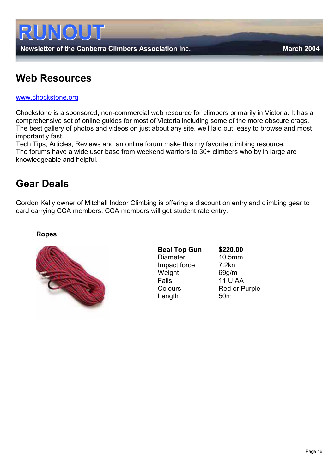

# Web Resources

#### [www.chockstone.org](http://www.chockstone.org/)

Chockstone is a sponsored, non-commercial web resource for climbers primarily in Victoria. It has a comprehensive set of online guides for most of Victoria including some of the more obscure crags. The best gallery of photos and videos on just about any site, well laid out, easy to browse and most importantly fast.

Tech Tips, Articles, Reviews and an online forum make this my favorite climbing resource. The forums have a wide user base from weekend warriors to 30+ climbers who by in large are knowledgeable and helpful.

# Gear Deals

Gordon Kelly owner of Mitchell Indoor Climbing is offering a discount on entry and climbing gear to card carrying CCA members. CCA members will get student rate entry.

#### Ropes



Beal Top Gun \$220.00 Diameter 10.5mm Impact force 7.2kn Weight 69g/m<br>Falls 11 UIA Colours Red or Purple Length 50m

11 UIAA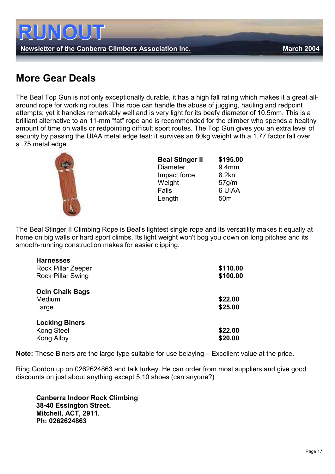

# More Gear Deals

The Beal Top Gun is not only exceptionally durable, it has a high fall rating which makes it a great allaround rope for working routes. This rope can handle the abuse of jugging, hauling and redpoint attempts; yet it handles remarkably well and is very light for its beefy diameter of 10.5mm. This is a brilliant alternative to an 11-mm "fat" rope and is recommended for the climber who spends a healthy amount of time on walls or redpointing difficult sport routes. The Top Gun gives you an extra level of security by passing the UIAA metal edge test: it survives an 80kg weight with a 1.77 factor fall over a .75 metal edge.



| <b>Beal Stinger II</b> | \$195.00        |
|------------------------|-----------------|
| <b>Diameter</b>        | 9.4mm           |
| Impact force           | 8.2kn           |
| Weight                 | 57g/m           |
| Falls                  | 6 UIAA          |
| Length                 | 50 <sub>m</sub> |

The Beal Stinger II Climbing Rope is Beal's lightest single rope and its versatility makes it equally at home on big walls or hard sport climbs. Its light weight won't bog you down on long pitches and its smooth-running construction makes for easier clipping.

| <b>Harnesses</b>         |          |
|--------------------------|----------|
| Rock Pillar Zeeper       | \$110.00 |
| <b>Rock Pillar Swing</b> | \$100.00 |
| <b>Ocin Chalk Bags</b>   |          |
| Medium                   | \$22.00  |
| Large                    | \$25.00  |
| <b>Locking Biners</b>    |          |
| <b>Kong Steel</b>        | \$22.00  |
| Kong Alloy               | \$20.00  |
|                          |          |

Note: These Biners are the large type suitable for use belaying – Excellent value at the price.

Ring Gordon up on 0262624863 and talk turkey. He can order from most suppliers and give good discounts on just about anything except 5.10 shoes (can anyone?)

Canberra Indoor Rock Climbing 38-40 Essington Street. Mitchell, ACT, 2911. Ph: 0262624863